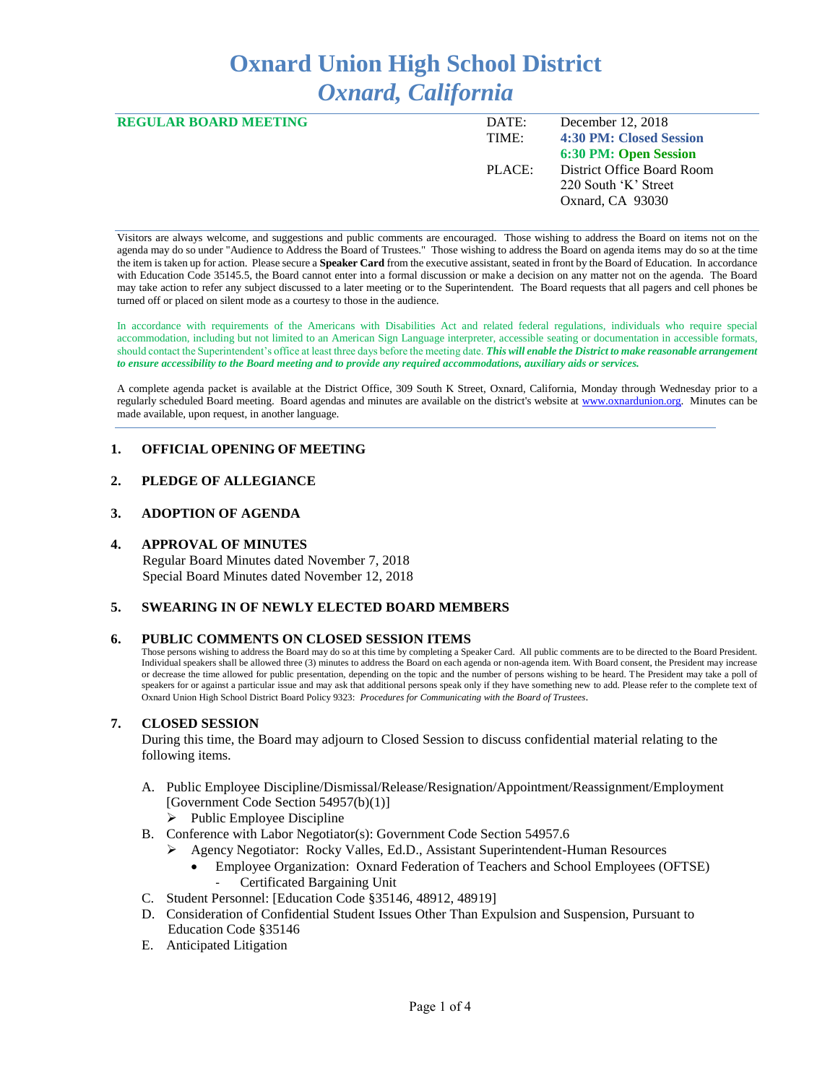# **Oxnard Union High School District** *Oxnard, California*

| <b>REGULAR BOARD MEETING</b> | DATE:<br>TIME: | December 12, 2018<br>4:30 PM: Closed Session |
|------------------------------|----------------|----------------------------------------------|
|                              |                | 6:30 PM: Open Session                        |
|                              | PLACE:         | District Office Board Room                   |
|                              |                | 220 South 'K' Street                         |
|                              |                | Oxnard, CA 93030                             |
|                              |                |                                              |

Visitors are always welcome, and suggestions and public comments are encouraged. Those wishing to address the Board on items not on the agenda may do so under "Audience to Address the Board of Trustees." Those wishing to address the Board on agenda items may do so at the time the item is taken up for action. Please secure a **Speaker Card** from the executive assistant, seated in front by the Board of Education. In accordance with Education Code 35145.5, the Board cannot enter into a formal discussion or make a decision on any matter not on the agenda. The Board may take action to refer any subject discussed to a later meeting or to the Superintendent. The Board requests that all pagers and cell phones be turned off or placed on silent mode as a courtesy to those in the audience.

In accordance with requirements of the Americans with Disabilities Act and related federal regulations, individuals who require special accommodation, including but not limited to an American Sign Language interpreter, accessible seating or documentation in accessible formats, should contact the Superintendent's office at least three days before the meeting date. *This will enable the District to make reasonable arrangement to ensure accessibility to the Board meeting and to provide any required accommodations, auxiliary aids or services.* 

A complete agenda packet is available at the District Office, 309 South K Street, Oxnard, California, Monday through Wednesday prior to a regularly scheduled Board meeting. Board agendas and minutes are available on the district's website at [www.ox](http://www.o/)nardunion.org.Minutes can be made available, upon request, in another language.

# **1. OFFICIAL OPENING OF MEETING**

# **2. PLEDGE OF ALLEGIANCE**

## **3. ADOPTION OF AGENDA**

### **4. APPROVAL OF MINUTES**

 Regular Board Minutes dated November 7, 2018 Special Board Minutes dated November 12, 2018

# **5. SWEARING IN OF NEWLY ELECTED BOARD MEMBERS**

#### **6. PUBLIC COMMENTS ON CLOSED SESSION ITEMS**

Those persons wishing to address the Board may do so at this time by completing a Speaker Card. All public comments are to be directed to the Board President. Individual speakers shall be allowed three (3) minutes to address the Board on each agenda or non-agenda item. With Board consent, the President may increase or decrease the time allowed for public presentation, depending on the topic and the number of persons wishing to be heard. The President may take a poll of speakers for or against a particular issue and may ask that additional persons speak only if they have something new to add. Please refer to the complete text of Oxnard Union High School District Board Policy 9323: *Procedures for Communicating with the Board of Trustees*.

# **7. CLOSED SESSION**

During this time, the Board may adjourn to Closed Session to discuss confidential material relating to the following items.

- A. Public Employee Discipline/Dismissal/Release/Resignation/Appointment/Reassignment/Employment [Government Code Section 54957(b)(1)]
	- ➢ Public Employee Discipline
- B. Conference with Labor Negotiator(s): Government Code Section 54957.6
	- ➢ Agency Negotiator: Rocky Valles, Ed.D., Assistant Superintendent-Human Resources
		- Employee Organization: Oxnard Federation of Teachers and School Employees (OFTSE) - Certificated Bargaining Unit
- C. Student Personnel: [Education Code §35146, 48912, 48919]
- D. Consideration of Confidential Student Issues Other Than Expulsion and Suspension, Pursuant to Education Code §35146
- E. Anticipated Litigation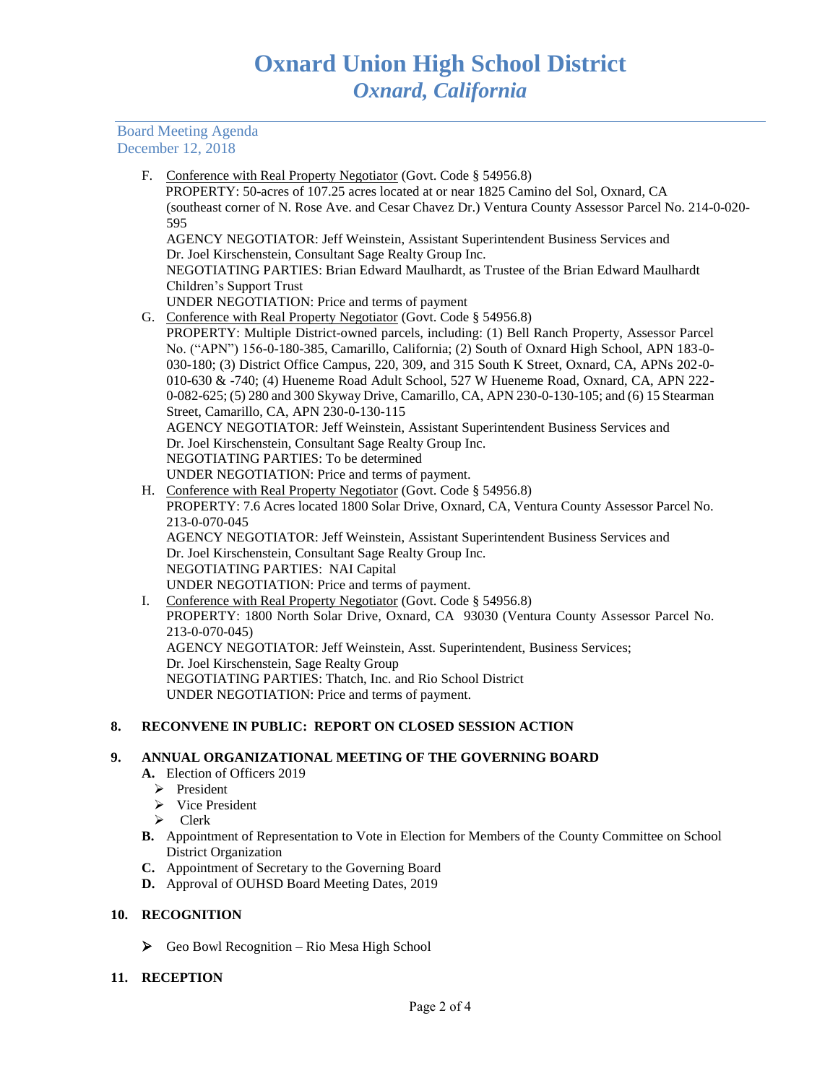# Board Meeting Agenda December 12, 2018

F. Conference with Real Property Negotiator (Govt. Code § 54956.8) PROPERTY: 50-acres of 107.25 acres located at or near 1825 Camino del Sol, Oxnard, CA (southeast corner of N. Rose Ave. and Cesar Chavez Dr.) Ventura County Assessor Parcel No. 214-0-020- 595 AGENCY NEGOTIATOR: Jeff Weinstein, Assistant Superintendent Business Services and Dr. Joel Kirschenstein, Consultant Sage Realty Group Inc. NEGOTIATING PARTIES: Brian Edward Maulhardt, as Trustee of the Brian Edward Maulhardt Children's Support Trust UNDER NEGOTIATION: Price and terms of payment G. Conference with Real Property Negotiator (Govt. Code § 54956.8) PROPERTY: Multiple District-owned parcels, including: (1) Bell Ranch Property, Assessor Parcel No. ("APN") 156-0-180-385, Camarillo, California; (2) South of Oxnard High School, APN 183-0- 030-180; (3) District Office Campus, 220, 309, and 315 South K Street, Oxnard, CA, APNs 202-0- 010-630 & -740; (4) Hueneme Road Adult School, 527 W Hueneme Road, Oxnard, CA, APN 222- 0-082-625; (5) 280 and 300 Skyway Drive, Camarillo, CA, APN 230-0-130-105; and (6) 15 Stearman Street, Camarillo, CA, APN 230-0-130-115 AGENCY NEGOTIATOR: Jeff Weinstein, Assistant Superintendent Business Services and Dr. Joel Kirschenstein, Consultant Sage Realty Group Inc. NEGOTIATING PARTIES: To be determined UNDER NEGOTIATION: Price and terms of payment. H. Conference with Real Property Negotiator (Govt. Code § 54956.8) PROPERTY: 7.6 Acres located 1800 Solar Drive, Oxnard, CA, Ventura County Assessor Parcel No. 213-0-070-045 AGENCY NEGOTIATOR: Jeff Weinstein, Assistant Superintendent Business Services and Dr. Joel Kirschenstein, Consultant Sage Realty Group Inc.

NEGOTIATING PARTIES: NAI Capital UNDER NEGOTIATION: Price and terms of payment. I. Conference with Real Property Negotiator (Govt. Code § 54956.8) PROPERTY: 1800 North Solar Drive, Oxnard, CA 93030 (Ventura County Assessor Parcel No. 213-0-070-045) AGENCY NEGOTIATOR: Jeff Weinstein, Asst. Superintendent, Business Services; Dr. Joel Kirschenstein, Sage Realty Group NEGOTIATING PARTIES: Thatch, Inc. and Rio School District UNDER NEGOTIATION: Price and terms of payment.

# **8. RECONVENE IN PUBLIC: REPORT ON CLOSED SESSION ACTION**

#### **9. ANNUAL ORGANIZATIONAL MEETING OF THE GOVERNING BOARD**

- **A.** Election of Officers 2019
	- ➢ President
	- ➢ Vice President
	- ➢ Clerk
- **B.** Appointment of Representation to Vote in Election for Members of the County Committee on School District Organization
- **C.** Appointment of Secretary to the Governing Board
- **D.** Approval of OUHSD Board Meeting Dates, 2019

### **10. RECOGNITION**

➢ Geo Bowl Recognition – Rio Mesa High School

# **11. RECEPTION**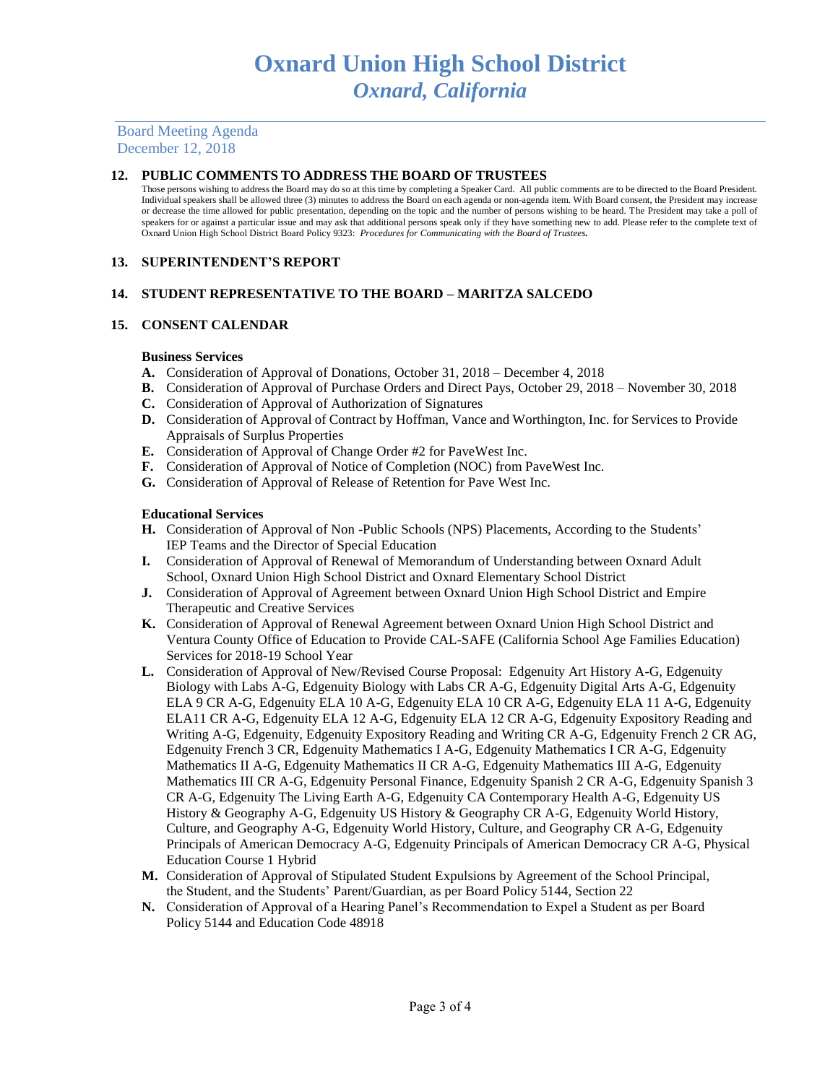Board Meeting Agenda December 12, 2018

# **12. PUBLIC COMMENTS TO ADDRESS THE BOARD OF TRUSTEES**

Those persons wishing to address the Board may do so at this time by completing a Speaker Card. All public comments are to be directed to the Board President. Individual speakers shall be allowed three (3) minutes to address the Board on each agenda or non-agenda item. With Board consent, the President may increase or decrease the time allowed for public presentation, depending on the topic and the number of persons wishing to be heard. The President may take a poll of speakers for or against a particular issue and may ask that additional persons speak only if they have something new to add. Please refer to the complete text of Oxnard Union High School District Board Policy 9323: *Procedures for Communicating with the Board of Trustees.*

# **13. SUPERINTENDENT'S REPORT**

# **14. STUDENT REPRESENTATIVE TO THE BOARD – MARITZA SALCEDO**

# **15. CONSENT CALENDAR**

## **Business Services**

- **A.** Consideration of Approval of Donations, October 31, 2018 December 4, 2018
- **B.** Consideration of Approval of Purchase Orders and Direct Pays, October 29, 2018 November 30, 2018
- **C.** Consideration of Approval of Authorization of Signatures
- **D.** Consideration of Approval of Contract by Hoffman, Vance and Worthington, Inc. for Services to Provide Appraisals of Surplus Properties
- **E.** Consideration of Approval of Change Order #2 for PaveWest Inc.
- **F.** Consideration of Approval of Notice of Completion (NOC) from PaveWest Inc.
- **G.** Consideration of Approval of Release of Retention for Pave West Inc.

## **Educational Services**

- **H.** Consideration of Approval of Non -Public Schools (NPS) Placements, According to the Students' IEP Teams and the Director of Special Education
- **I.** Consideration of Approval of Renewal of Memorandum of Understanding between Oxnard Adult School, Oxnard Union High School District and Oxnard Elementary School District
- **J.** Consideration of Approval of Agreement between Oxnard Union High School District and Empire Therapeutic and Creative Services
- **K.** Consideration of Approval of Renewal Agreement between Oxnard Union High School District and Ventura County Office of Education to Provide CAL-SAFE (California School Age Families Education) Services for 2018-19 School Year
- **L.** Consideration of Approval of New/Revised Course Proposal: Edgenuity Art History A-G, Edgenuity Biology with Labs A-G, Edgenuity Biology with Labs CR A-G, Edgenuity Digital Arts A-G, Edgenuity ELA 9 CR A-G, Edgenuity ELA 10 A-G, Edgenuity ELA 10 CR A-G, Edgenuity ELA 11 A-G, Edgenuity ELA11 CR A-G, Edgenuity ELA 12 A-G, Edgenuity ELA 12 CR A-G, Edgenuity Expository Reading and Writing A-G, Edgenuity, Edgenuity Expository Reading and Writing CR A-G, Edgenuity French 2 CR AG, Edgenuity French 3 CR, Edgenuity Mathematics I A-G, Edgenuity Mathematics I CR A-G, Edgenuity Mathematics II A-G, Edgenuity Mathematics II CR A-G, Edgenuity Mathematics III A-G, Edgenuity Mathematics III CR A-G, Edgenuity Personal Finance, Edgenuity Spanish 2 CR A-G, Edgenuity Spanish 3 CR A-G, Edgenuity The Living Earth A-G, Edgenuity CA Contemporary Health A-G, Edgenuity US History & Geography A-G, Edgenuity US History & Geography CR A-G, Edgenuity World History, Culture, and Geography A-G, Edgenuity World History, Culture, and Geography CR A-G, Edgenuity Principals of American Democracy A-G, Edgenuity Principals of American Democracy CR A-G, Physical Education Course 1 Hybrid
- **M.** Consideration of Approval of Stipulated Student Expulsions by Agreement of the School Principal, the Student, and the Students' Parent/Guardian, as per Board Policy 5144, Section 22
- **N.** Consideration of Approval of a Hearing Panel's Recommendation to Expel a Student as per Board Policy 5144 and Education Code 48918